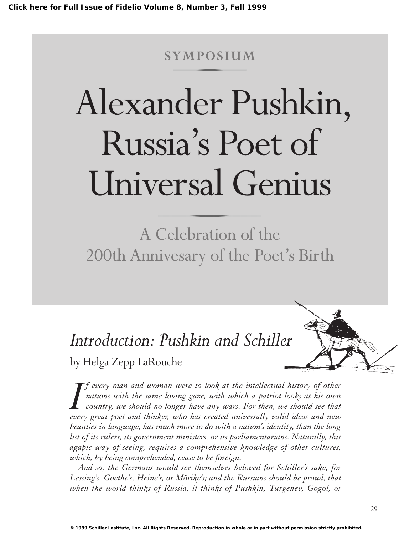## **SYMPOSIUM**

# Alexander Pushkin, Russia's Poet of Universal Genius

A Celebration of the 200th Annivesary of the Poet's Birth

# *Introduction: Pushkin and Schiller*

by Helga Zepp LaRouche

*I f* every man and woman were to look at the intellectual history of other *nations with the same loving gaze, with which a patriot looks at his own country, we should no longer have any wars. For then, we should see f every man and woman were to look at the intellectual history of other nations with the same loving gaze, with which a patriot looks at his own country, we should no longer have any wars. For then, we should see that beauties in language, has much more to do with a nation's identity, than the long list of its rulers, its government ministers, or its parliamentarians. Naturally, this agapic way of seeing, requires a comprehensive knowledge of other cultures, which, by being comprehended, cease to be foreign.*

*And so, the Germans would see themselves beloved for Schiller's sake, for Lessing's, Goethe's, Heine's, or Mörike's; and the Russians should be proud, that when the world thinks of Russia, it thinks of Pushkin, Turgenev, Gogol, or*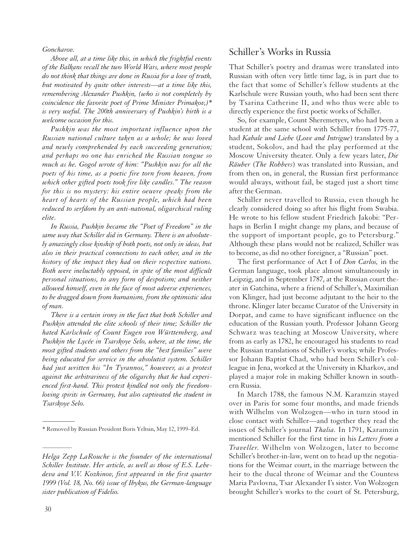*Goncharov.*

*Above all, at a time like this, in which the frightful events of the Balkans recall the two World Wars, where most people do not think that things are done in Russia for a love of truth, but motivated by quite other interests—at a time like this, remembering Alexander Pushkin, (who is not completely by coincidence the favorite poet of Prime Minister Primakov,)\* is very useful. The 200th anniversary of Pushkin's birth is a welcome occasion for this.*

*Pushkin was the most important influence upon the Russian national culture taken as a whole; he was loved and newly comprehended by each succeeding generation; and perhaps no one has enriched the Russian tongue so much as he. Gogol wrote of him: "Pushkin was for all the poets of his time, as a poetic fire torn from heaven, from which other gifted poets took fire like candles." The reason for this is no mystery: his entire oeuvre speaks from the heart of hearts of the Russian people, which had been reduced to serfdom by an anti-national, oligarchical ruling elite.*

*In Russia, Pushkin became the "Poet of Freedom" in the same way that Schiller did in Germany. There is an absolutely amazingly close kinship of both poets, not only in ideas, but also in their practical connections to each other, and in the history of the impact they had on their respective nations. Both were ineluctably opposed, in spite of the most difficult personal situations, to any form of despotism; and neither allowed himself, even in the face of most adverse experiences, to be dragged down from humanism, from the optimistic idea of man.*

*There is a certain irony in the fact that both Schiller and Pushkin attended the elite schools of their time; Schiller the hated Karlschule of Count Eugen von Württemberg, and Pushkin the Lycée in Tsarskoye Selo, where, at the time, the most gifted students and others from the "best families" were being educated for service in the absolutist system. Schiller had just written his "In Tyrannos," however, as a protest against the arbitrariness of the oligarchy that he had experienced first-hand. This protest kindled not only the freedomloving spirits in Germany, but also captivated the student in Tsarskoye Selo.*

#### Schiller's Works in Russia

That Schiller's poetry and dramas were translated into Russian with often very little time lag, is in part due to the fact that some of Schiller's fellow students at the Karlschule were Russian youth, who had been sent there by Tsarina Catherine II, and who thus were able to directly experience the first poetic works of Schiller.

So, for example, Count Sheremetyev, who had been a student at the same school with Schiller from 1775-77, had *Kabale und Liebe* (*Love and Intrigue*) translated by a student, Sokolov, and had the play performed at the Moscow University theater. Only a few years later, *Die Räuber* (*The Robbers*) was translated into Russian, and from then on, in general, the Russian first performance would always, without fail, be staged just a short time after the German.

Schiller never travelled to Russia, even though he clearly considered doing so after his flight from Swabia. He wrote to his fellow student Friedrich Jakobi: "Perhaps in Berlin I might change my plans, and because of the support of important people, go to Petersburg." Although these plans would not be realized, Schiller was to become, as did no other foreigner, a "Russian" poet.

The first performance of Act I of *Don Carlos,* in the German language, took place almost simultaneously in Leipzig, and in September 1787, at the Russian court theater in Gatchina, where a friend of Schiller's, Maximilian von Klinger, had just become adjutant to the heir to the throne. Klinger later became Curator of the University in Dorpat, and came to have significant influence on the education of the Russian youth. Professor Johann Georg Schwarz was teaching at Moscow University, where from as early as 1782, he encouraged his students to read the Russian translations of Schiller's works; while Professor Johann Baptist Chad, who had been Schiller's colleague in Jena, worked at the University in Kharkov, and played a major role in making Schiller known in southern Russia.

In March 1788, the famous N.M. Karamzin stayed over in Paris for some four months, and made friends with Wilhelm von Wolzogen—who in turn stood in close contact with Schiller—and together they read the issues of Schiller's journal *Thalia.* In 1791, Karamzin mentioned Schiller for the first time in his *Letters from a Traveller.* Wilhelm von Wolzogen, later to become Schiller's brother-in-law, went on to head up the negotiations for the Weimar court, in the marriage between the heir to the ducal throne of Weimar and the Countess Maria Pavlovna, Tsar Alexander I's sister. Von Wolzogen brought Schiller's works to the court of St. Petersburg,

 $\overline{\phantom{a}}$ 

––––––––––

<sup>\*</sup> Removed by Russian President Boris Yeltsin, May 12, 1999–Ed.

*Helga Zepp LaRouche is the founder of the international Schiller Institute. Her article, as well as those of E.S. Lebedeva and V.V. Kozhinov, first appeared in the first quarter 1999 (Vol. 18, No. 66) issue of Ibykus, the German-language sister publication of Fidelio.*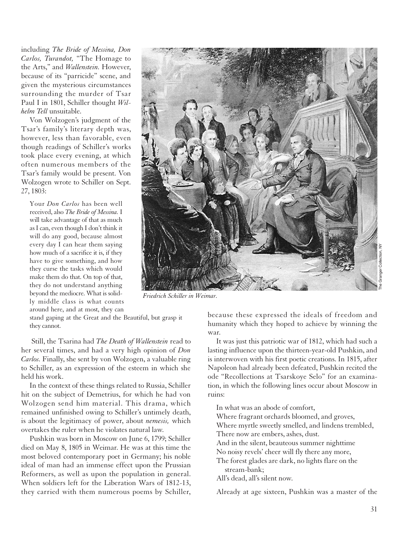including *The Bride of Messina, Don Carlos, Turandot,* "The Homage to the Arts," and *Wallenstein.* However, because of its "parricide" scene, and given the mysterious circumstances surrounding the murder of Tsar Paul I in 1801, Schiller thought *Wilhelm Tell* unsuitable.

Von Wolzogen's judgment of the Tsar's family's literary depth was, however, less than favorable, even though readings of Schiller's works took place every evening, at which often numerous members of the Tsar's family would be present. Von Wolzogen wrote to Schiller on Sept. 27, 1803:

Your *Don Carlos* has been well received, also *The Bride of Messina.* I will take advantage of that as much as I can, even though I don't think it will do any good, because almost every day I can hear them saying how much of a sacrifice it is, if they have to give something, and how they curse the tasks which would make them do that. On top of that, they do not understand anything beyond the mediocre. What is solidly middle class is what counts around here, and at most, they can



*Friedrich Schiller in Weimar.*

stand gaping at the Great and the Beautiful, but grasp it they cannot.

Still, the Tsarina had *The Death of Wallenstein* read to her several times, and had a very high opinion of *Don Carlos.* Finally, she sent by von Wolzogen, a valuable ring to Schiller, as an expression of the esteem in which she held his work.

In the context of these things related to Russia, Schiller hit on the subject of Demetrius, for which he had von Wolzogen send him material. This drama, which remained unfinished owing to Schiller's untimely death, is about the legitimacy of power, about *nemesis,* which overtakes the ruler when he violates natural law.

Pushkin was born in Moscow on June 6, 1799; Schiller died on May 8, 1805 in Weimar. He was at this time the most beloved contemporary poet in Germany; his noble ideal of man had an immense effect upon the Prussian Reformers, as well as upon the population in general. When soldiers left for the Liberation Wars of 1812-13, they carried with them numerous poems by Schiller, because these expressed the ideals of freedom and humanity which they hoped to achieve by winning the war.

It was just this patriotic war of 1812, which had such a lasting influence upon the thirteen-year-old Pushkin, and is interwoven with his first poetic creations. In 1815, after Napoleon had already been defeated, Pushkin recited the ode "Recollections at Tsarskoye Selo" for an examination, in which the following lines occur about Moscow in ruins:

In what was an abode of comfort,

Where fragrant orchards bloomed, and groves,

Where myrtle sweetly smelled, and lindens trembled,

- There now are embers, ashes, dust.
- And in the silent, beauteous summer nighttime
- No noisy revels' cheer will fly there any more,

The forest glades are dark, no lights flare on the stream-bank;

All's dead, all's silent now.

Already at age sixteen, Pushkin was a master of the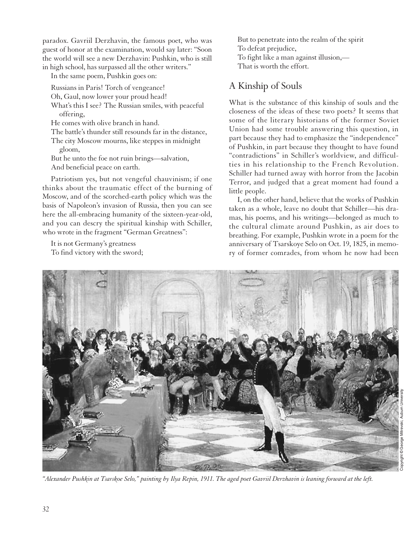paradox. Gavriil Derzhavin, the famous poet, who was guest of honor at the examination, would say later: "Soon the world will see a new Derzhavin: Pushkin, who is still in high school, has surpassed all the other writers."

In the same poem, Pushkin goes on:

Russians in Paris! Torch of vengeance! Oh, Gaul, now lower your proud head! What's this I see? The Russian smiles, with peaceful offering,

He comes with olive branch in hand.

The battle's thunder still resounds far in the distance,

The city Moscow mourns, like steppes in midnight gloom,

But he unto the foe not ruin brings—salvation, And beneficial peace on earth.

Patriotism yes, but not vengeful chauvinism; if one thinks about the traumatic effect of the burning of Moscow, and of the scorched-earth policy which was the basis of Napoleon's invasion of Russia, then you can see here the all-embracing humanity of the sixteen-year-old, and you can descry the spiritual kinship with Schiller, who wrote in the fragment "German Greatness":

It is not Germany's greatness To find victory with the sword; But to penetrate into the realm of the spirit To defeat prejudice, To fight like a man against illusion,— That is worth the effort.

### A Kinship of Souls

What is the substance of this kinship of souls and the closeness of the ideas of these two poets? It seems that some of the literary historians of the former Soviet Union had some trouble answering this question, in part because they had to emphasize the "independence" of Pushkin, in part because they thought to have found "contradictions" in Schiller's worldview, and difficulties in his relationship to the French Revolution. Schiller had turned away with horror from the Jacobin Terror, and judged that a great moment had found a little people.

I, on the other hand, believe that the works of Pushkin taken as a whole, leave no doubt that Schiller—his dramas, his poems, and his writings—belonged as much to the cultural climate around Pushkin, as air does to breathing. For example, Pushkin wrote in a poem for the anniversary of Tsarskoye Selo on Oct. 19, 1825, in memory of former comrades, from whom he now had been



*"Alexander Pushkin at Tsarskoe Selo," painting by Ilya Repin, 1911. The aged poet Gavriil Derzhavin is leaning forward at the left.*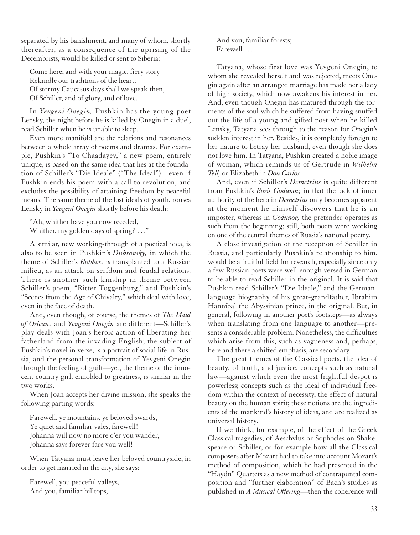separated by his banishment, and many of whom, shortly thereafter, as a consequence of the uprising of the Decembrists, would be killed or sent to Siberia:

Come here; and with your magic, fiery story Rekindle our traditions of the heart; Of stormy Caucasus days shall we speak then, Of Schiller, and of glory, and of love.

In *Yevgeni Onegin,* Pushkin has the young poet Lensky, the night before he is killed by Onegin in a duel, read Schiller when he is unable to sleep.

Even more manifold are the relations and resonances between a whole array of poems and dramas. For example, Pushkin's "To Chaadayev," a new poem, entirely unique, is based on the same idea that lies at the foundation of Schiller's "Die Ideale" ("The Ideal")—even if Pushkin ends his poem with a call to revolution, and excludes the possibility of attaining freedom by peaceful means. The same theme of the lost ideals of youth, rouses Lensky in *Yevgeni Onegin* shortly before his death:

"Ah, whither have you now receded, Whither, my golden days of spring? . . ."

A similar, new working-through of a poetical idea, is also to be seen in Pushkin's *Dubrovsky,* in which the theme of Schiller's *Robbers* is transplanted to a Russian milieu, as an attack on serfdom and feudal relations. There is another such kinship in theme between Schiller's poem, "Ritter Toggenburg," and Pushkin's "Scenes from the Age of Chivalry," which deal with love, even in the face of death.

And, even though, of course, the themes of *The Maid of Orleans* and *Yevgeni Onegin* are different—Schiller's play deals with Joan's heroic action of liberating her fatherland from the invading English; the subject of Pushkin's novel in verse, is a portrait of social life in Russia, and the personal transformation of Yevgeni Onegin through the feeling of guilt—yet, the theme of the innocent country girl, ennobled to greatness, is similar in the two works.

When Joan accepts her divine mission, she speaks the following parting words:

Farewell, ye mountains, ye beloved swards, Ye quiet and familiar vales, farewell! Johanna will now no more o'er you wander, Johanna says forever fare you well!

When Tatyana must leave her beloved countryside, in order to get married in the city, she says:

Farewell, you peaceful valleys, And you, familiar hilltops,

And you, familiar forests; Farewell . . .

Tatyana, whose first love was Yevgeni Onegin, to whom she revealed herself and was rejected, meets Onegin again after an arranged marriage has made her a lady of high society, which now awakens his interest in her. And, even though Onegin has matured through the torments of the soul which he suffered from having snuffed out the life of a young and gifted poet when he killed Lensky, Tatyana sees through to the reason for Onegin's sudden interest in her. Besides, it is completely foreign to her nature to betray her husband, even though she does not love him. In Tatyana, Pushkin created a noble image of woman, which reminds us of Gertrude in *Wilhelm Tell,* or Elizabeth in *Don Carlos.*

And, even if Schiller's *Demetrius* is quite different from Pushkin's *Boris Godunov,* in that the lack of inner authority of the hero in *Demetrius* only becomes apparent at the moment he himself discovers that he is an imposter, whereas in *Godunov,* the pretender operates as such from the beginning; still, both poets were working on one of the central themes of Russia's national poetry.

A close investigation of the reception of Schiller in Russia, and particularly Pushkin's relationship to him, would be a fruitful field for research, especially since only a few Russian poets were well-enough versed in German to be able to read Schiller in the original. It is said that Pushkin read Schiller's "Die Ideale," and the Germanlanguage biography of his great-grandfather, Ibrahim Hannibal the Abyssinian prince, in the original. But, in general, following in another poet's footsteps—as always when translating from one language to another—presents a considerable problem. Nonetheless, the difficulties which arise from this, such as vagueness and, perhaps, here and there a shifted emphasis, are secondary.

The great themes of the Classical poets, the idea of beauty, of truth, and justice, concepts such as natural law—against which even the most frightful despot is powerless; concepts such as the ideal of individual freedom within the context of necessity, the effect of natural beauty on the human spirit; these notions are the ingredients of the mankind's history of ideas, and are realized as universal history.

If we think, for example, of the effect of the Greek Classical tragedies, of Aeschylus or Sophocles on Shakespeare or Schiller, or for example how all the Classical composers after Mozart had to take into account Mozart's method of composition, which he had presented in the "Haydn" Quartets as a new method of contrapuntal composition and "further elaboration" of Bach's studies as published in *A Musical Offering*—then the coherence will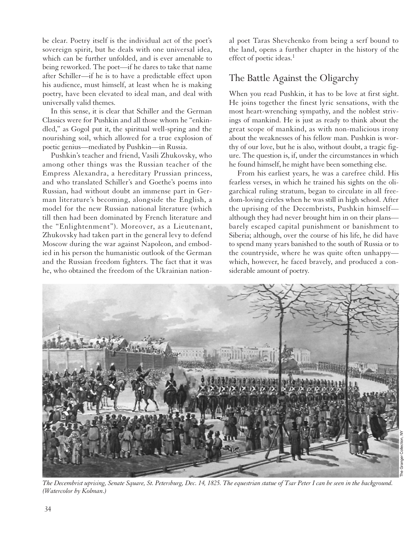be clear. Poetry itself is the individual act of the poet's sovereign spirit, but he deals with one universal idea, which can be further unfolded, and is ever amenable to being reworked. The poet—if he dares to take that name after Schiller—if he is to have a predictable effect upon his audience, must himself, at least when he is making poetry, have been elevated to ideal man, and deal with universally valid themes.

In this sense, it is clear that Schiller and the German Classics were for Pushkin and all those whom he "enkindled," as Gogol put it, the spiritual well-spring and the nourishing soil, which allowed for a true explosion of poetic genius—mediated by Pushkin—in Russia.

Pushkin's teacher and friend, Vasili Zhukovsky, who among other things was the Russian teacher of the Empress Alexandra, a hereditary Prussian princess, and who translated Schiller's and Goethe's poems into Russian, had without doubt an immense part in German literature's becoming, alongside the English, a model for the new Russian national literature (which till then had been dominated by French literature and the "Enlightenment"). Moreover, as a Lieutenant, Zhukovsky had taken part in the general levy to defend Moscow during the war against Napoleon, and embodied in his person the humanistic outlook of the German and the Russian freedom fighters. The fact that it was he, who obtained the freedom of the Ukrainian national poet Taras Shevchenko from being a serf bound to the land, opens a further chapter in the history of the effect of poetic ideas.<sup>1</sup>

#### The Battle Against the Oligarchy

When you read Pushkin, it has to be love at first sight. He joins together the finest lyric sensations, with the most heart-wrenching sympathy, and the noblest strivings of mankind. He is just as ready to think about the great scope of mankind, as with non-malicious irony about the weaknesses of his fellow man. Pushkin is worthy of our love, but he is also, without doubt, a tragic figure. The question is, if, under the circumstances in which he found himself, he might have been something else.

From his earliest years, he was a carefree child. His fearless verses, in which he trained his sights on the oligarchical ruling stratum, began to circulate in all freedom-loving circles when he was still in high school. After the uprising of the Decembrists, Pushkin himself although they had never brought him in on their plans barely escaped capital punishment or banishment to Siberia; although, over the course of his life, he did have to spend many years banished to the south of Russia or to the countryside, where he was quite often unhappy which, however, he faced bravely, and produced a considerable amount of poetry.



*The Decembrist uprising, Senate Square, St. Petersburg, Dec. 14, 1825. The equestrian statue of Tsar Peter I can be seen in the background.*

The Granger Collection, NY

*(Watercolor by Kolman.)*